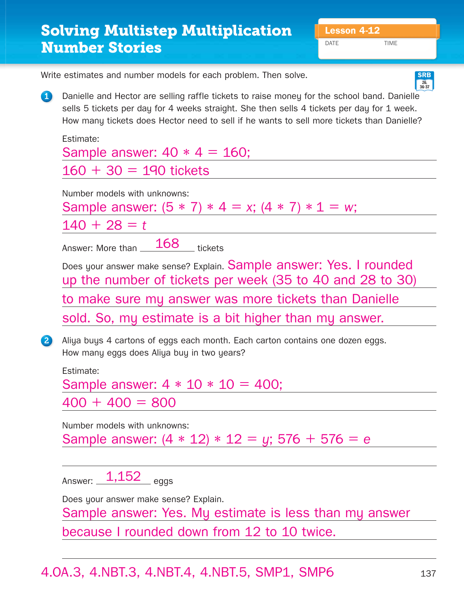DATE TIME

**26, 36-37 SRB**

|             | Write estimates and number models for each problem. Then solve.<br><b>S</b>                                                                                                                                                                                                            |
|-------------|----------------------------------------------------------------------------------------------------------------------------------------------------------------------------------------------------------------------------------------------------------------------------------------|
| $\mathbf 0$ | Danielle and Hector are selling raffle tickets to raise money for the school band. Danielle<br>sells 5 tickets per day for 4 weeks straight. She then sells 4 tickets per day for 1 week.<br>How many tickets does Hector need to sell if he wants to sell more tickets than Danielle? |
|             | Estimate:                                                                                                                                                                                                                                                                              |
|             | Sample answer: $40 * 4 = 160$ ;                                                                                                                                                                                                                                                        |
|             | $160 + 30 = 190$ tickets                                                                                                                                                                                                                                                               |
|             | Number models with unknowns:<br>Sample answer: $(5 * 7) * 4 = x$ ; $(4 * 7) * 1 = w$ ;                                                                                                                                                                                                 |
|             | $140 + 28 = t$                                                                                                                                                                                                                                                                         |
|             | Answer: More than 168 tickets                                                                                                                                                                                                                                                          |
|             | Does your answer make sense? Explain. Sample answer: Yes. I rounded<br>up the number of tickets per week (35 to 40 and 28 to 30)                                                                                                                                                       |
|             | to make sure my answer was more tickets than Danielle                                                                                                                                                                                                                                  |
|             | sold. So, my estimate is a bit higher than my answer.                                                                                                                                                                                                                                  |
| 2           | Aliya buys 4 cartons of eggs each month. Each carton contains one dozen eggs.<br>How many eggs does Aliya buy in two years?                                                                                                                                                            |
|             | Estimate:                                                                                                                                                                                                                                                                              |
|             | Sample answer: $4 * 10 * 10 = 400$ ;                                                                                                                                                                                                                                                   |
|             | $400 + 400 = 800$                                                                                                                                                                                                                                                                      |
|             | Number models with unknowns:                                                                                                                                                                                                                                                           |
|             | Sample answer: $(4 * 12) * 12 = y$ ; 576 + 576 = e                                                                                                                                                                                                                                     |
|             |                                                                                                                                                                                                                                                                                        |
|             | Answer: 1,152<br>$=$ eggs                                                                                                                                                                                                                                                              |
|             | Does your answer make sense? Explain.                                                                                                                                                                                                                                                  |

Sample answer: Yes. My estimate is less than my answer

because I rounded down from 12 to 10 twice.

## 4.OA.3, 4.NBT.3, 4.NBT.4, 4.NBT.5, SMP1, SMP6